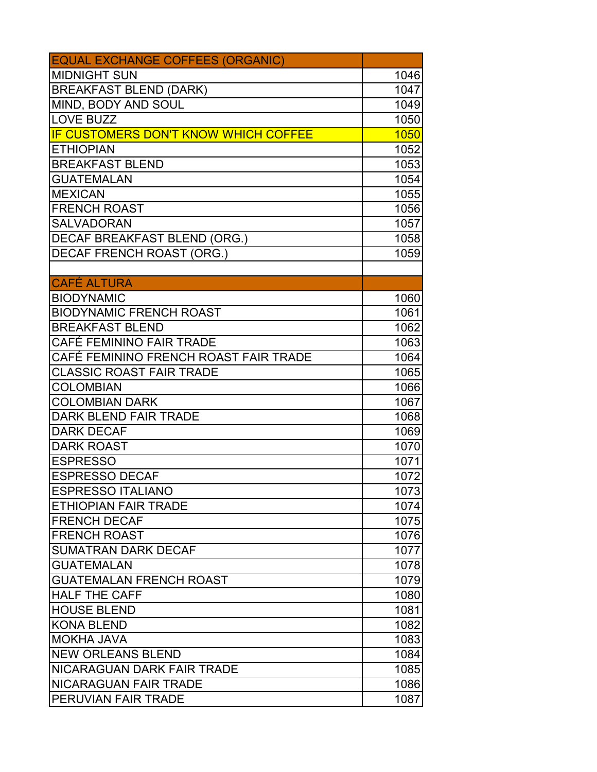| <b>EQUAL EXCHANGE COFFEES (ORGANIC)</b>     |      |
|---------------------------------------------|------|
| <b>MIDNIGHT SUN</b>                         | 1046 |
| <b>BREAKFAST BLEND (DARK)</b>               | 1047 |
| MIND, BODY AND SOUL                         | 1049 |
| <b>LOVE BUZZ</b>                            | 1050 |
| <b>IF CUSTOMERS DON'T KNOW WHICH COFFEE</b> | 1050 |
| <b>ETHIOPIAN</b>                            | 1052 |
| <b>BREAKFAST BLEND</b>                      | 1053 |
| <b>GUATEMALAN</b>                           | 1054 |
| <b>MEXICAN</b>                              | 1055 |
| <b>FRENCH ROAST</b>                         | 1056 |
| <b>SALVADORAN</b>                           | 1057 |
| <b>DECAF BREAKFAST BLEND (ORG.)</b>         | 1058 |
| <b>DECAF FRENCH ROAST (ORG.)</b>            | 1059 |
|                                             |      |
| <b>CAFÉ ALTURA</b>                          |      |
| <b>BIODYNAMIC</b>                           | 1060 |
| <b>BIODYNAMIC FRENCH ROAST</b>              | 1061 |
| <b>BREAKFAST BLEND</b>                      | 1062 |
| CAFÉ FEMININO FAIR TRADE                    | 1063 |
| CAFÉ FEMININO FRENCH ROAST FAIR TRADE       | 1064 |
| <b>CLASSIC ROAST FAIR TRADE</b>             | 1065 |
| <b>COLOMBIAN</b>                            | 1066 |
| <b>COLOMBIAN DARK</b>                       | 1067 |
| DARK BLEND FAIR TRADE                       | 1068 |
| <b>DARK DECAF</b>                           | 1069 |
| <b>DARK ROAST</b>                           | 1070 |
| <b>IESPRESSO</b>                            | 1071 |
| <b>ESPRESSO DECAF</b>                       | 1072 |
| <b>ESPRESSO ITALIANO</b>                    | 1073 |
| <b>ETHIOPIAN FAIR TRADE</b>                 | 1074 |
| <b>FRENCH DECAF</b>                         | 1075 |
| <b>FRENCH ROAST</b>                         | 1076 |
| <b>SUMATRAN DARK DECAF</b>                  | 1077 |
| <b>GUATEMALAN</b>                           | 1078 |
| <b>GUATEMALAN FRENCH ROAST</b>              | 1079 |
| <b>HALF THE CAFF</b>                        | 1080 |
| <b>HOUSE BLEND</b>                          | 1081 |
| <b>KONA BLEND</b>                           | 1082 |
| <b>MOKHA JAVA</b>                           | 1083 |
| <b>NEW ORLEANS BLEND</b>                    | 1084 |
| NICARAGUAN DARK FAIR TRADE                  | 1085 |
| <b>NICARAGUAN FAIR TRADE</b>                | 1086 |
| <b>PERUVIAN FAIR TRADE</b>                  | 1087 |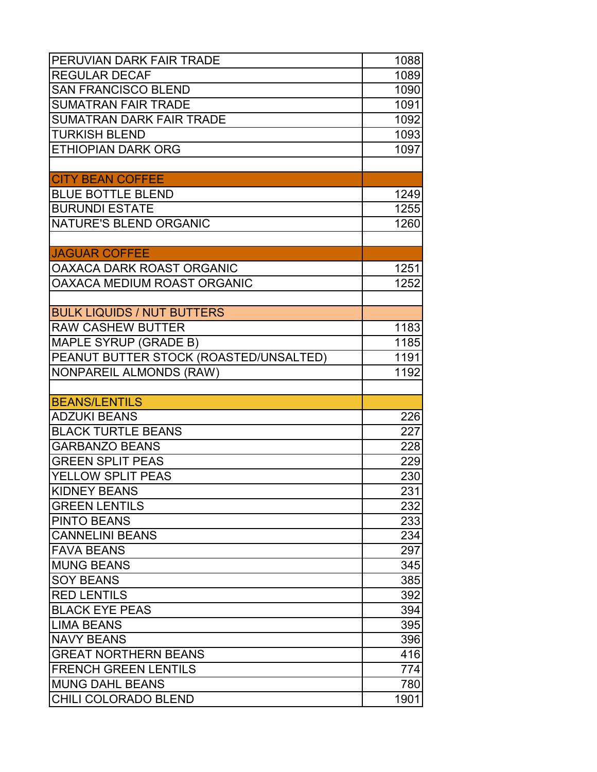| PERUVIAN DARK FAIR TRADE               | 1088 |
|----------------------------------------|------|
| <b>REGULAR DECAF</b>                   | 1089 |
| <b>SAN FRANCISCO BLEND</b>             | 1090 |
| <b>SUMATRAN FAIR TRADE</b>             | 1091 |
| <b>SUMATRAN DARK FAIR TRADE</b>        | 1092 |
| <b>TURKISH BLEND</b>                   | 1093 |
| <b>ETHIOPIAN DARK ORG</b>              | 1097 |
|                                        |      |
| <b>CITY BEAN COFFEE</b>                |      |
| <b>BLUE BOTTLE BLEND</b>               | 1249 |
| <b>BURUNDI ESTATE</b>                  | 1255 |
| NATURE'S BLEND ORGANIC                 | 1260 |
|                                        |      |
| <b>JAGUAR COFFEE</b>                   |      |
| <b>OAXACA DARK ROAST ORGANIC</b>       | 1251 |
| OAXACA MEDIUM ROAST ORGANIC            | 1252 |
|                                        |      |
| <b>BULK LIQUIDS / NUT BUTTERS</b>      |      |
| <b>RAW CASHEW BUTTER</b>               | 1183 |
| MAPLE SYRUP (GRADE B)                  | 1185 |
| PEANUT BUTTER STOCK (ROASTED/UNSALTED) | 1191 |
| <b>NONPAREIL ALMONDS (RAW)</b>         | 1192 |
|                                        |      |
| <b>BEANS/LENTILS</b>                   |      |
| <b>ADZUKI BEANS</b>                    | 226  |
| <b>BLACK TURTLE BEANS</b>              | 227  |
| <b>GARBANZO BEANS</b>                  | 228  |
| <b>GREEN SPLIT PEAS</b>                | 229  |
| YELLOW SPLIT PEAS                      | 230  |
| <b>KIDNEY BEANS</b>                    | 231  |
| <b>GREEN LENTILS</b>                   | 232  |
| <b>PINTO BEANS</b>                     | 233  |
| <b>CANNELINI BEANS</b>                 | 234  |
| <b>FAVA BEANS</b>                      | 297  |
| <b>MUNG BEANS</b>                      | 345  |
| <b>SOY BEANS</b>                       | 385  |
| <b>RED LENTILS</b>                     | 392  |
| <b>BLACK EYE PEAS</b>                  | 394  |
|                                        |      |
| <b>LIMA BEANS</b>                      | 395  |
| <b>NAVY BEANS</b>                      | 396  |
| <b>GREAT NORTHERN BEANS</b>            | 416  |
| <b>FRENCH GREEN LENTILS</b>            | 774  |
| <b>MUNG DAHL BEANS</b>                 | 780  |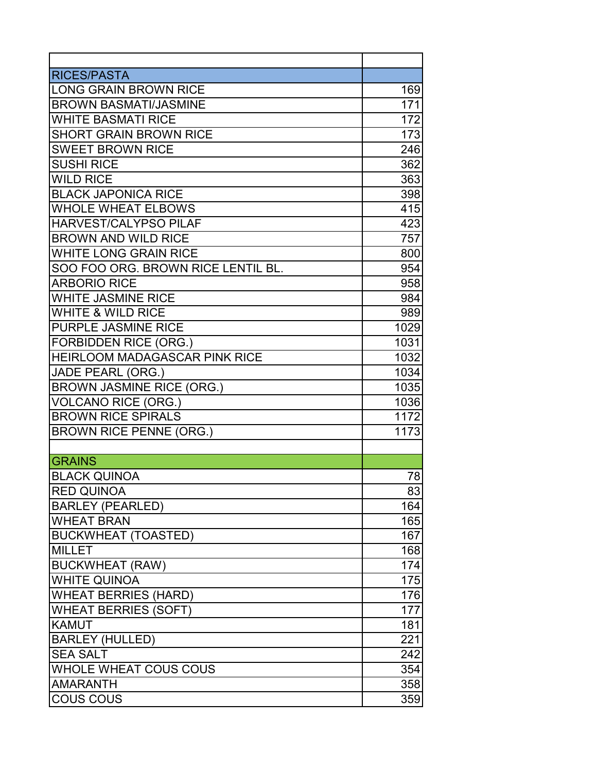| <b>RICES/PASTA</b>                   |      |
|--------------------------------------|------|
| <b>LONG GRAIN BROWN RICE</b>         | 169  |
| <b>BROWN BASMATI/JASMINE</b>         | 171  |
| <b>WHITE BASMATI RICE</b>            | 172  |
| <b>SHORT GRAIN BROWN RICE</b>        | 173  |
| <b>SWEET BROWN RICE</b>              | 246  |
| <b>SUSHI RICE</b>                    | 362  |
| <b>WILD RICE</b>                     | 363  |
| <b>BLACK JAPONICA RICE</b>           | 398  |
| <b>WHOLE WHEAT ELBOWS</b>            | 415  |
| HARVEST/CALYPSO PILAF                | 423  |
| <b>BROWN AND WILD RICE</b>           | 757  |
| <b>WHITE LONG GRAIN RICE</b>         | 800  |
| SOO FOO ORG. BROWN RICE LENTIL BL.   | 954  |
| <b>ARBORIO RICE</b>                  | 958  |
| <b>WHITE JASMINE RICE</b>            | 984  |
| <b>WHITE &amp; WILD RICE</b>         | 989  |
| PURPLE JASMINE RICE                  | 1029 |
| <b>FORBIDDEN RICE (ORG.)</b>         | 1031 |
| <b>HEIRLOOM MADAGASCAR PINK RICE</b> | 1032 |
| <b>JADE PEARL (ORG.)</b>             | 1034 |
| <b>BROWN JASMINE RICE (ORG.)</b>     | 1035 |
| <b>VOLCANO RICE (ORG.)</b>           | 1036 |
| <b>BROWN RICE SPIRALS</b>            | 1172 |
| <b>BROWN RICE PENNE (ORG.)</b>       | 1173 |
|                                      |      |
| <b>GRAINS</b>                        |      |
| <b>BLACK QUINOA</b>                  | 78   |
| <b>RED QUINOA</b>                    | 83   |
| <b>BARLEY (PEARLED)</b>              | 164  |
| <b>WHEAT BRAN</b>                    | 165  |
| <b>BUCKWHEAT (TOASTED)</b>           | 167  |
| <b>MILLET</b>                        | 168  |
| <b>BUCKWHEAT (RAW)</b>               | 174  |
| <b>WHITE QUINOA</b>                  | 175  |
| <b>WHEAT BERRIES (HARD)</b>          | 176  |
| <b>WHEAT BERRIES (SOFT)</b>          | 177  |
| <b>KAMUT</b>                         | 181  |
| <b>BARLEY (HULLED)</b>               | 221  |
| <b>SEA SALT</b>                      | 242  |
| <b>WHOLE WHEAT COUS COUS</b>         | 354  |
| <b>AMARANTH</b>                      | 358  |
| <b>COUS COUS</b>                     | 359  |
|                                      |      |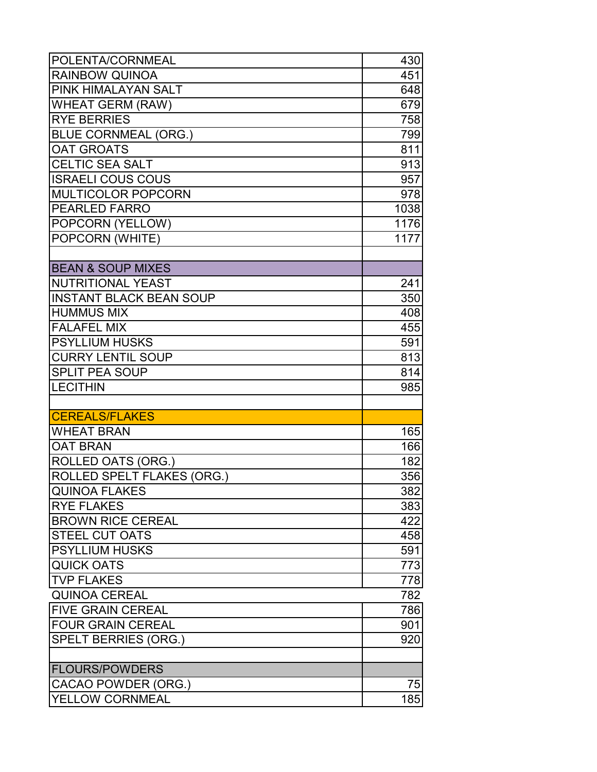| POLENTA/CORNMEAL                                           | 430        |
|------------------------------------------------------------|------------|
| <b>RAINBOW QUINOA</b>                                      | 451        |
| PINK HIMALAYAN SALT                                        | 648        |
| <b>WHEAT GERM (RAW)</b>                                    | 679        |
| <b>RYE BERRIES</b>                                         | 758        |
| <b>BLUE CORNMEAL (ORG.)</b>                                | 799        |
| <b>OAT GROATS</b>                                          | 811        |
| <b>CELTIC SEA SALT</b>                                     | 913        |
| <b>ISRAELI COUS COUS</b>                                   | 957        |
| <b>MULTICOLOR POPCORN</b>                                  | 978        |
| <b>PEARLED FARRO</b>                                       | 1038       |
| POPCORN (YELLOW)                                           | 1176       |
| POPCORN (WHITE)                                            | 1177       |
| <b>BEAN &amp; SOUP MIXES</b>                               |            |
|                                                            |            |
| <b>NUTRITIONAL YEAST</b><br><b>INSTANT BLACK BEAN SOUP</b> | 241        |
| <b>HUMMUS MIX</b>                                          | 350        |
| <b>FALAFEL MIX</b>                                         | 408        |
|                                                            | 455        |
| <b>PSYLLIUM HUSKS</b>                                      | 591        |
| <b>CURRY LENTIL SOUP</b><br><b>SPLIT PEA SOUP</b>          | 813        |
| <b>LECITHIN</b>                                            | 814<br>985 |
|                                                            |            |
| <b>CEREALS/FLAKES</b>                                      |            |
| <b>WHEAT BRAN</b>                                          | 165        |
| <b>OAT BRAN</b>                                            | 166        |
| ROLLED OATS (ORG.)                                         | 182        |
| ROLLED SPELT FLAKES (ORG.)                                 | 356        |
| <b>QUINOA FLAKES</b>                                       | 382        |
| <b>RYE FLAKES</b>                                          | 383        |
| <b>BROWN RICE CEREAL</b>                                   | 422        |
| <b>STEEL CUT OATS</b>                                      | 458        |
| <b>PSYLLIUM HUSKS</b>                                      | 591        |
| <b>QUICK OATS</b>                                          | 773        |
| <b>TVP FLAKES</b>                                          | 778        |
| <b>QUINOA CEREAL</b>                                       | 782        |
| <b>FIVE GRAIN CEREAL</b>                                   | 786        |
| <b>FOUR GRAIN CEREAL</b>                                   | 901        |
| <b>SPELT BERRIES (ORG.)</b>                                | 920        |
| <b>FLOURS/POWDERS</b>                                      |            |
| CACAO POWDER (ORG.)                                        | 75         |
| YELLOW CORNMEAL                                            | 185        |
|                                                            |            |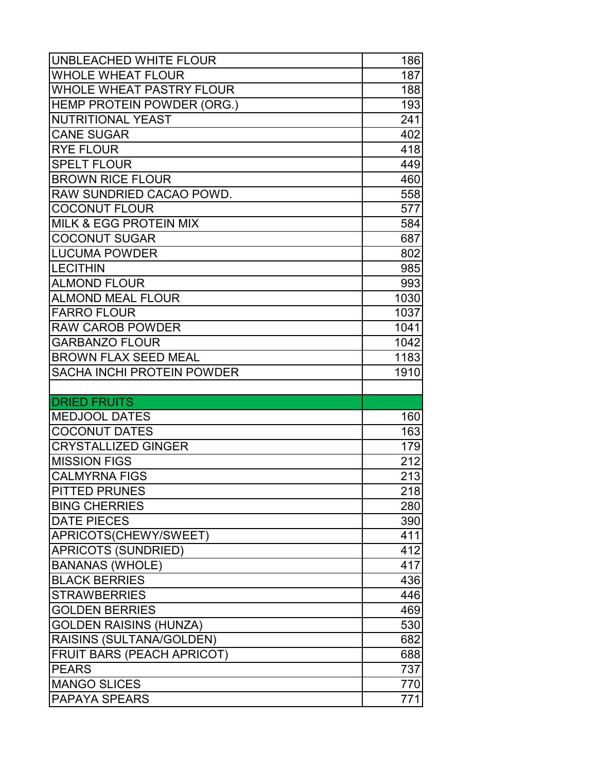| <b>UNBLEACHED WHITE FLOUR</b>                       | 186                      |
|-----------------------------------------------------|--------------------------|
| <b>WHOLE WHEAT FLOUR</b>                            | 187                      |
| <b>WHOLE WHEAT PASTRY FLOUR</b>                     | 188                      |
| <b>HEMP PROTEIN POWDER (ORG.)</b>                   | 193                      |
| NUTRITIONAL YEAST                                   | 241                      |
| <b>CANE SUGAR</b>                                   | 402                      |
| <b>RYE FLOUR</b>                                    | 418                      |
| <b>SPELT FLOUR</b>                                  | 449                      |
| <b>BROWN RICE FLOUR</b>                             | 460                      |
| <b>RAW SUNDRIED CACAO POWD.</b>                     | 558                      |
| <b>COCONUT FLOUR</b>                                | 577                      |
| <b>MILK &amp; EGG PROTEIN MIX</b>                   | 584                      |
| <b>COCONUT SUGAR</b>                                | 687                      |
| <b>LUCUMA POWDER</b>                                | 802                      |
| <b>LECITHIN</b>                                     | 985                      |
| <b>ALMOND FLOUR</b>                                 | 993                      |
| <b>ALMOND MEAL FLOUR</b>                            | 1030                     |
| <b>FARRO FLOUR</b>                                  | 1037                     |
| <b>RAW CAROB POWDER</b>                             | 1041                     |
| <b>GARBANZO FLOUR</b>                               | 1042                     |
| <b>BROWN FLAX SEED MEAL</b>                         | 1183                     |
| <b>SACHA INCHI PROTEIN POWDER</b>                   | 1910                     |
|                                                     |                          |
|                                                     |                          |
|                                                     |                          |
| <b>MEDJOOL DATES</b>                                | 160                      |
| <b>COCONUT DATES</b>                                | 163                      |
| <b>DRIED FRUITS</b><br><b>CRYSTALLIZED GINGER</b>   | 179                      |
| <b>MISSION FIGS</b>                                 | 212                      |
| <b>CALMYRNA FIGS</b>                                |                          |
| <b>PITTED PRUNES</b>                                | $\overline{2}$ 13<br>218 |
| <b>BING CHERRIES</b>                                | 280                      |
| <b>DATE PIECES</b>                                  | 390                      |
|                                                     | 411                      |
| APRICOTS(CHEWY/SWEET)<br><b>APRICOTS (SUNDRIED)</b> | 412                      |
| <b>BANANAS (WHOLE)</b>                              | 417                      |
| <b>BLACK BERRIES</b>                                | 436                      |
| <b>STRAWBERRIES</b>                                 | 446                      |
| <b>GOLDEN BERRIES</b>                               | 469                      |
| <b>GOLDEN RAISINS (HUNZA)</b>                       | 530                      |
| <b>RAISINS (SULTANA/GOLDEN)</b>                     | 682                      |
| <b>FRUIT BARS (PEACH APRICOT)</b>                   | 688                      |
| <b>IPEARS</b>                                       | 737                      |
| <b>MANGO SLICES</b>                                 | 770                      |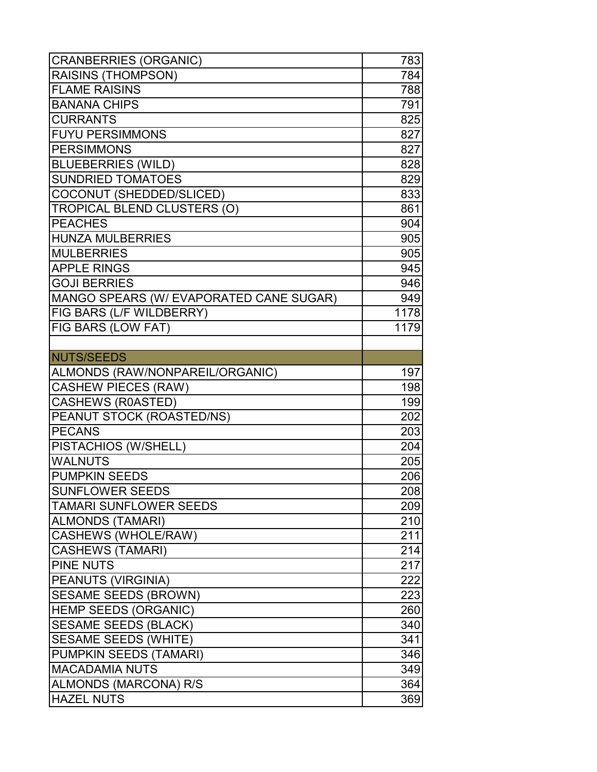| <b>CRANBERRIES (ORGANIC)</b>            | 783  |
|-----------------------------------------|------|
| <b>RAISINS (THOMPSON)</b>               | 784  |
| <b>FLAME RAISINS</b>                    | 788  |
| <b>BANANA CHIPS</b>                     | 791  |
| <b>CURRANTS</b>                         | 825  |
| <b>FUYU PERSIMMONS</b>                  | 827  |
| <b>PERSIMMONS</b>                       | 827  |
| <b>BLUEBERRIES (WILD)</b>               | 828  |
| <b>SUNDRIED TOMATOES</b>                | 829  |
| COCONUT (SHEDDED/SLICED)                | 833  |
| <b>TROPICAL BLEND CLUSTERS (O)</b>      | 861  |
| <b>PEACHES</b>                          | 904  |
| <b>HUNZA MULBERRIES</b>                 | 905  |
| <b>MULBERRIES</b>                       | 905  |
| <b>APPLE RINGS</b>                      | 945  |
| <b>GOJI BERRIES</b>                     | 946  |
| MANGO SPEARS (W/ EVAPORATED CANE SUGAR) | 949  |
| <b>FIG BARS (L/F WILDBERRY)</b>         | 1178 |
| <b>FIG BARS (LOW FAT)</b>               | 1179 |
|                                         |      |
| NUTS/SEEDS                              |      |
| ALMONDS (RAW/NONPAREIL/ORGANIC)         | 197  |
| <b>CASHEW PIECES (RAW)</b>              | 198  |
| <b>CASHEWS (R0ASTED)</b>                | 199  |
| PEANUT STOCK (ROASTED/NS)               | 202  |
| <b>PECANS</b>                           | 203  |
| PISTACHIOS (W/SHELL)                    | 204  |
| <b>WALNUTS</b>                          | 205  |
| <b>PUMPKIN SEEDS</b>                    | 206  |
| SUNFLOWER SEEDS                         | 208  |
| <b>TAMARI SUNFLOWER SEEDS</b>           | 209  |
| ALMONDS (TAMARI)                        | 210  |
| <b>CASHEWS (WHOLE/RAW)</b>              | 211  |
| <b>CASHEWS (TAMARI)</b>                 | 214  |
| <b>PINE NUTS</b>                        | 217  |
| <b>PEANUTS (VIRGINIA)</b>               | 222  |
| <b>SESAME SEEDS (BROWN)</b>             | 223  |
| <b>HEMP SEEDS (ORGANIC)</b>             | 260  |
| <b>SESAME SEEDS (BLACK)</b>             | 340  |
| <b>SESAME SEEDS (WHITE)</b>             | 341  |
| PUMPKIN SEEDS (TAMARI)                  | 346  |
| <b>MACADAMIA NUTS</b>                   | 349  |
| ALMONDS (MARCONA) R/S                   | 364  |
| <b>HAZEL NUTS</b>                       | 369  |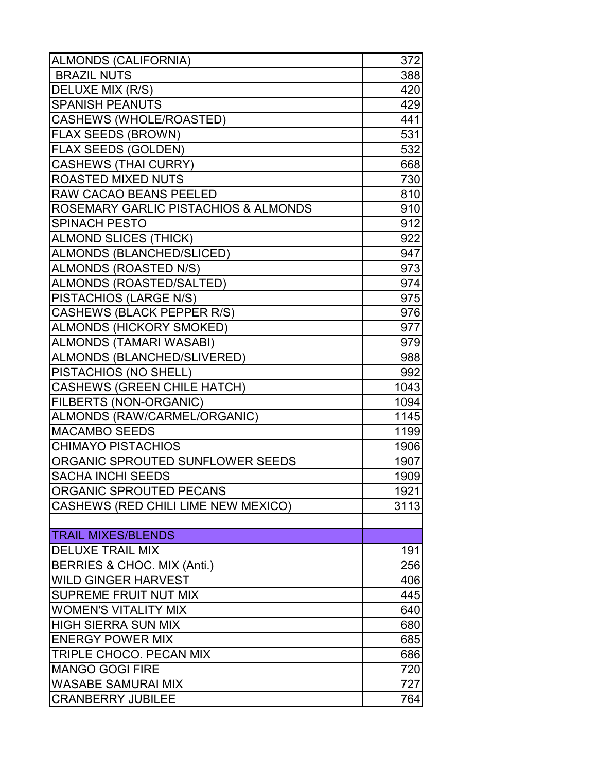| ALMONDS (CALIFORNIA)                            | 372  |
|-------------------------------------------------|------|
| <b>BRAZIL NUTS</b>                              | 388  |
| <b>DELUXE MIX (R/S)</b>                         | 420  |
| <b>SPANISH PEANUTS</b>                          | 429  |
| CASHEWS (WHOLE/ROASTED)                         | 441  |
| <b>FLAX SEEDS (BROWN)</b>                       | 531  |
| <b>FLAX SEEDS (GOLDEN)</b>                      | 532  |
| <b>CASHEWS (THAI CURRY)</b>                     | 668  |
| <b>ROASTED MIXED NUTS</b>                       | 730  |
| <b>RAW CACAO BEANS PEELED</b>                   | 810  |
| <b>ROSEMARY GARLIC PISTACHIOS &amp; ALMONDS</b> | 910  |
| <b>SPINACH PESTO</b>                            | 912  |
| <b>ALMOND SLICES (THICK)</b>                    | 922  |
| ALMONDS (BLANCHED/SLICED)                       | 947  |
| <b>ALMONDS (ROASTED N/S)</b>                    | 973  |
| ALMONDS (ROASTED/SALTED)                        | 974  |
| <b>PISTACHIOS (LARGE N/S)</b>                   | 975  |
| <b>CASHEWS (BLACK PEPPER R/S)</b>               | 976  |
| <b>ALMONDS (HICKORY SMOKED)</b>                 | 977  |
| ALMONDS (TAMARI WASABI)                         | 979  |
| ALMONDS (BLANCHED/SLIVERED)                     | 988  |
| PISTACHIOS (NO SHELL)                           | 992  |
| CASHEWS (GREEN CHILE HATCH)                     | 1043 |
| <b>FILBERTS (NON-ORGANIC)</b>                   | 1094 |
| ALMONDS (RAW/CARMEL/ORGANIC)                    | 1145 |
| <b>MACAMBO SEEDS</b>                            | 1199 |
| <b>CHIMAYO PISTACHIOS</b>                       | 1906 |
| ORGANIC SPROUTED SUNFLOWER SEEDS                | 1907 |
| <b>SACHA INCHI SEEDS</b>                        | 1909 |
| ORGANIC SPROUTED PECANS                         | 1921 |
| <b>CASHEWS (RED CHILI LIME NEW MEXICO)</b>      | 3113 |
|                                                 |      |
| <b>TRAIL MIXES/BLENDS</b>                       |      |
| <b>DELUXE TRAIL MIX</b>                         | 191  |
| BERRIES & CHOC. MIX (Anti.)                     | 256  |
| <b>WILD GINGER HARVEST</b>                      | 406  |
| <b>SUPREME FRUIT NUT MIX</b>                    | 445  |
| <b>WOMEN'S VITALITY MIX</b>                     | 640  |
| <b>HIGH SIERRA SUN MIX</b>                      | 680  |
| <b>ENERGY POWER MIX</b>                         | 685  |
| <b>TRIPLE CHOCO. PECAN MIX</b>                  | 686  |
| <b>MANGO GOGI FIRE</b>                          | 720  |
| <b>WASABE SAMURAI MIX</b>                       | 727  |
| <b>CRANBERRY JUBILEE</b>                        | 764  |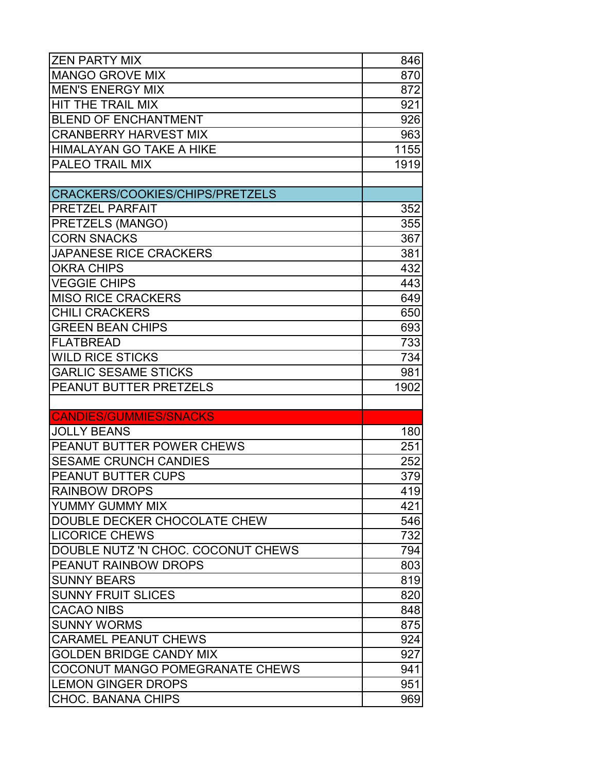| <b>ZEN PARTY MIX</b>                   | 846  |
|----------------------------------------|------|
| <b>MANGO GROVE MIX</b>                 | 870  |
| <b>MEN'S ENERGY MIX</b>                | 872  |
| HIT THE TRAIL MIX                      | 921  |
| <b>BLEND OF ENCHANTMENT</b>            | 926  |
| <b>CRANBERRY HARVEST MIX</b>           | 963  |
| <b>HIMALAYAN GO TAKE A HIKE</b>        | 1155 |
| <b>PALEO TRAIL MIX</b>                 | 1919 |
|                                        |      |
| <b>CRACKERS/COOKIES/CHIPS/PRETZELS</b> |      |
| <b>PRETZEL PARFAIT</b>                 | 352  |
| <b>PRETZELS (MANGO)</b>                | 355  |
| <b>CORN SNACKS</b>                     | 367  |
| <b>JAPANESE RICE CRACKERS</b>          | 381  |
| <b>OKRA CHIPS</b>                      | 432  |
| <b>VEGGIE CHIPS</b>                    | 443  |
| <b>MISO RICE CRACKERS</b>              | 649  |
| <b>CHILI CRACKERS</b>                  | 650  |
| <b>GREEN BEAN CHIPS</b>                | 693  |
| <b>FLATBREAD</b>                       | 733  |
| <b>WILD RICE STICKS</b>                | 734  |
| <b>GARLIC SESAME STICKS</b>            | 981  |
| <b>PEANUT BUTTER PRETZELS</b>          | 1902 |
|                                        |      |
| <b>CANDIES/GUMMIES/SNACKS</b>          |      |
| <b>JOLLY BEANS</b>                     | 180  |
| <b>PEANUT BUTTER POWER CHEWS</b>       | 251  |
| <b>SESAME CRUNCH CANDIES</b>           | 252  |
| <b>PEANUT BUTTER CUPS</b>              | 379  |
| <b>RAINBOW DROPS</b>                   | 419  |
| <b>YUMMY GUMMY MIX</b>                 | 421  |
| DOUBLE DECKER CHOCOLATE CHEW           | 546  |
| <b>LICORICE CHEWS</b>                  | 732  |
| DOUBLE NUTZ 'N CHOC. COCONUT CHEWS     | 794  |
| <b>PEANUT RAINBOW DROPS</b>            | 803  |
| <b>SUNNY BEARS</b>                     | 819  |
| <b>SUNNY FRUIT SLICES</b>              | 820  |
| <b>CACAO NIBS</b>                      | 848  |
| <b>SUNNY WORMS</b>                     | 875  |
| <b>CARAMEL PEANUT CHEWS</b>            | 924  |
| <b>GOLDEN BRIDGE CANDY MIX</b>         | 927  |
| <b>COCONUT MANGO POMEGRANATE CHEWS</b> | 941  |
| <b>LEMON GINGER DROPS</b>              | 951  |
| <b>CHOC. BANANA CHIPS</b>              | 969  |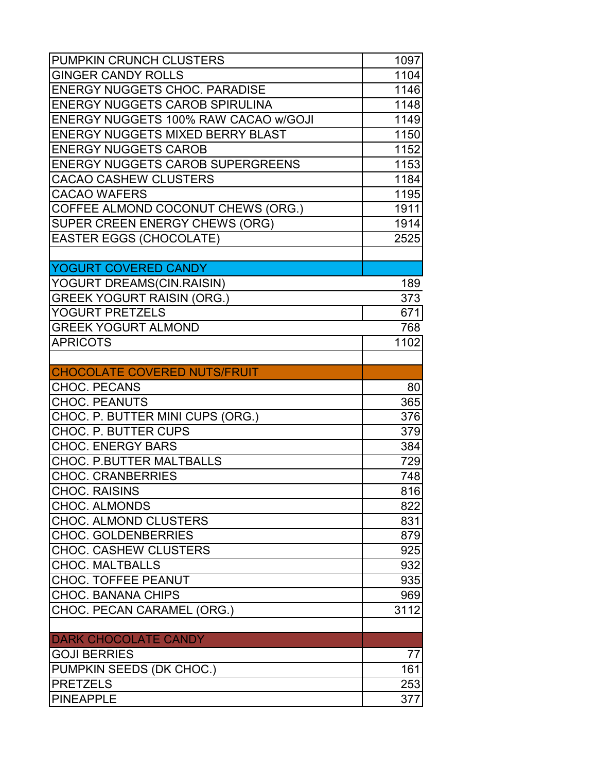| <b>PUMPKIN CRUNCH CLUSTERS</b>                     | 1097       |
|----------------------------------------------------|------------|
| <b>GINGER CANDY ROLLS</b>                          | 1104       |
| <b>ENERGY NUGGETS CHOC. PARADISE</b>               | 1146       |
| <b>ENERGY NUGGETS CAROB SPIRULINA</b>              | 1148       |
| <b>ENERGY NUGGETS 100% RAW CACAO w/GOJI</b>        | 1149       |
| <b>ENERGY NUGGETS MIXED BERRY BLAST</b>            | 1150       |
| <b>ENERGY NUGGETS CAROB</b>                        | 1152       |
| <b>ENERGY NUGGETS CAROB SUPERGREENS</b>            | 1153       |
| <b>CACAO CASHEW CLUSTERS</b>                       | 1184       |
| <b>CACAO WAFERS</b>                                | 1195       |
| COFFEE ALMOND COCONUT CHEWS (ORG.)                 | 1911       |
| <b>SUPER CREEN ENERGY CHEWS (ORG)</b>              | 1914       |
| <b>EASTER EGGS (CHOCOLATE)</b>                     | 2525       |
|                                                    |            |
| YOGURT COVERED CANDY                               |            |
| YOGURT DREAMS(CIN.RAISIN)                          | 189        |
| <b>GREEK YOGURT RAISIN (ORG.)</b>                  | 373        |
| <b>YOGURT PRETZELS</b>                             | 671        |
| <b>GREEK YOGURT ALMOND</b>                         | 768        |
| <b>APRICOTS</b>                                    | 1102       |
|                                                    |            |
| <b>CHOCOLATE COVERED NUTS/FRUIT</b>                |            |
| <b>CHOC. PECANS</b>                                | 80         |
| <b>CHOC. PEANUTS</b>                               | 365        |
| CHOC. P. BUTTER MINI CUPS (ORG.)                   | 376        |
| CHOC. P. BUTTER CUPS                               | 379        |
| <b>CHOC. ENERGY BARS</b>                           | 384        |
| <b>CHOC. P.BUTTER MALTBALLS</b>                    | 729        |
| <b>CHOC. CRANBERRIES</b>                           | 748        |
| <b>CHOC. RAISINS</b>                               | 816        |
| <b>CHOC. ALMONDS</b>                               | 822        |
| <b>CHOC. ALMOND CLUSTERS</b>                       | 831        |
| <b>CHOC. GOLDENBERRIES</b>                         | 879        |
| <b>CHOC. CASHEW CLUSTERS</b>                       | 925        |
| <b>CHOC. MALTBALLS</b>                             | 932        |
| <b>CHOC. TOFFEE PEANUT</b>                         | 935        |
| <b>CHOC. BANANA CHIPS</b>                          | 969        |
| CHOC. PECAN CARAMEL (ORG.)                         | 3112       |
|                                                    |            |
| <b>DARK CHOCOLATE CANDY</b><br><b>GOJI BERRIES</b> | 77         |
|                                                    |            |
| PUMPKIN SEEDS (DK CHOC.)<br><b>PRETZELS</b>        | 161        |
| <b>PINEAPPLE</b>                                   | 253<br>377 |
|                                                    |            |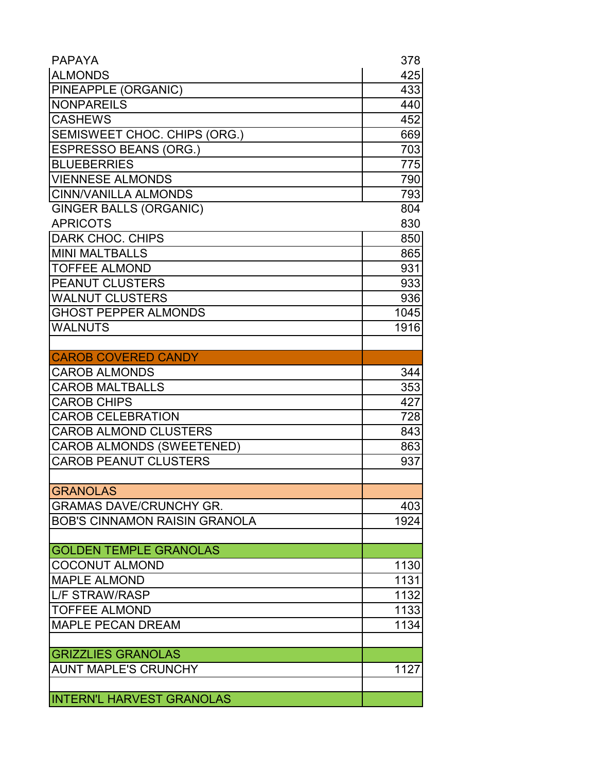| <b>PAPAYA</b>                        | 378  |
|--------------------------------------|------|
| <b>ALMONDS</b>                       | 425  |
| PINEAPPLE (ORGANIC)                  | 433  |
| <b>NONPAREILS</b>                    | 440  |
| <b>CASHEWS</b>                       | 452  |
| SEMISWEET CHOC. CHIPS (ORG.)         | 669  |
| <b>ESPRESSO BEANS (ORG.)</b>         | 703  |
| <b>BLUEBERRIES</b>                   | 775  |
| <b>VIENNESE ALMONDS</b>              | 790  |
| <b>CINN/VANILLA ALMONDS</b>          | 793  |
| <b>GINGER BALLS (ORGANIC)</b>        | 804  |
| <b>APRICOTS</b>                      | 830  |
| DARK CHOC. CHIPS                     | 850  |
| <b>MINI MALTBALLS</b>                | 865  |
| <b>TOFFEE ALMOND</b>                 | 931  |
| <b>PEANUT CLUSTERS</b>               | 933  |
| <b>WALNUT CLUSTERS</b>               | 936  |
| <b>GHOST PEPPER ALMONDS</b>          | 1045 |
| <b>WALNUTS</b>                       | 1916 |
|                                      |      |
| <b>CAROB COVERED CANDY</b>           |      |
| <b>CAROB ALMONDS</b>                 | 344  |
| <b>CAROB MALTBALLS</b>               | 353  |
| <b>CAROB CHIPS</b>                   | 427  |
| <b>CAROB CELEBRATION</b>             | 728  |
| <b>CAROB ALMOND CLUSTERS</b>         | 843  |
| <b>CAROB ALMONDS (SWEETENED)</b>     | 863  |
| <b>CAROB PEANUT CLUSTERS</b>         | 937  |
|                                      |      |
| <b>GRANOLAS</b>                      |      |
| <b>GRAMAS DAVE/CRUNCHY GR.</b>       | 403  |
| <b>BOB'S CINNAMON RAISIN GRANOLA</b> | 1924 |
|                                      |      |
| <b>GOLDEN TEMPLE GRANOLAS</b>        |      |
| <b>COCONUT ALMOND</b>                | 1130 |
| <b>MAPLE ALMOND</b>                  | 1131 |
| L/F STRAW/RASP                       | 1132 |
| <b>TOFFEE ALMOND</b>                 | 1133 |
| <b>MAPLE PECAN DREAM</b>             | 1134 |
|                                      |      |
| <b>GRIZZLIES GRANOLAS</b>            |      |
| <b>AUNT MAPLE'S CRUNCHY</b>          | 1127 |
|                                      |      |
| <b>INTERN'L HARVEST GRANOLAS</b>     |      |